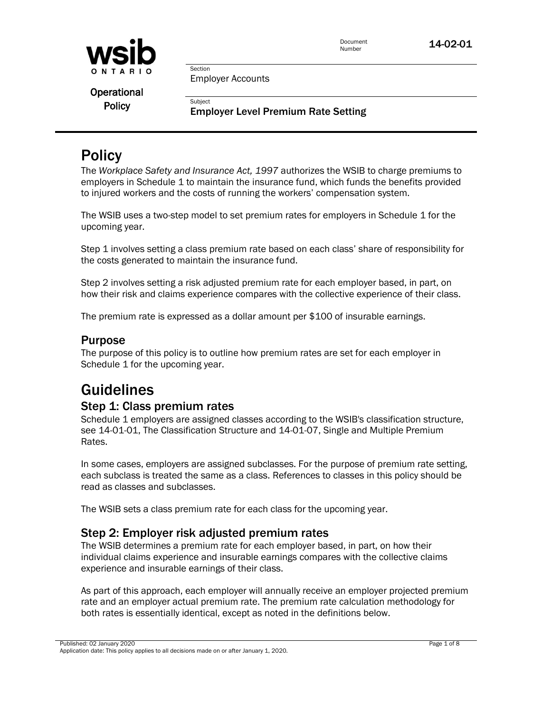

Employer Accounts

Section

Subject

**Operational Policy** 

Employer Level Premium Rate Setting

# **Policy**

The *Workplace Safety and Insurance Act, 1997* authorizes the WSIB to charge premiums to employers in Schedule 1 to maintain the insurance fund, which funds the benefits provided to injured workers and the costs of running the workers' compensation system.

The WSIB uses a two-step model to set premium rates for employers in Schedule 1 for the upcoming year.

Step 1 involves setting a class premium rate based on each class' share of responsibility for the costs generated to maintain the insurance fund.

Step 2 involves setting a risk adjusted premium rate for each employer based, in part, on how their risk and claims experience compares with the collective experience of their class.

The premium rate is expressed as a dollar amount per \$100 of insurable earnings.

# Purpose

The purpose of this policy is to outline how premium rates are set for each employer in Schedule 1 for the upcoming year.

# Guidelines

# Step 1: Class premium rates

Schedule 1 employers are assigned classes according to the WSIB's classification structure, see 14-01-01, The Classification Structure and 14-01-07, Single and Multiple Premium Rates.

In some cases, employers are assigned subclasses. For the purpose of premium rate setting, each subclass is treated the same as a class. References to classes in this policy should be read as classes and subclasses.

The WSIB sets a class premium rate for each class for the upcoming year.

# Step 2: Employer risk adjusted premium rates

The WSIB determines a premium rate for each employer based, in part, on how their individual claims experience and insurable earnings compares with the collective claims experience and insurable earnings of their class.

As part of this approach, each employer will annually receive an employer projected premium rate and an employer actual premium rate. The premium rate calculation methodology for both rates is essentially identical, except as noted in the definitions below.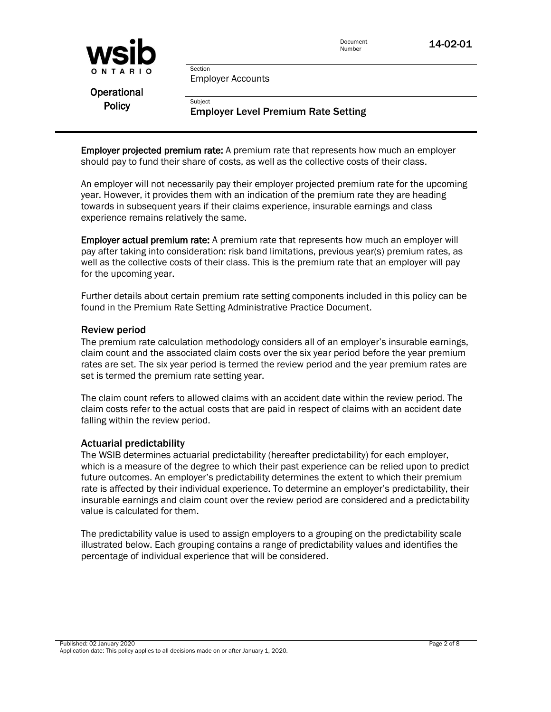

Employer Accounts

Section

Subject

**Operational Policy** 

## Employer Level Premium Rate Setting

**Employer projected premium rate:** A premium rate that represents how much an employer should pay to fund their share of costs, as well as the collective costs of their class.

An employer will not necessarily pay their employer projected premium rate for the upcoming year. However, it provides them with an indication of the premium rate they are heading towards in subsequent years if their claims experience, insurable earnings and class experience remains relatively the same.

**Employer actual premium rate:** A premium rate that represents how much an employer will pay after taking into consideration: risk band limitations, previous year(s) premium rates, as well as the collective costs of their class. This is the premium rate that an employer will pay for the upcoming year.

Further details about certain premium rate setting components included in this policy can be found in the Premium Rate Setting Administrative Practice Document.

#### Review period

The premium rate calculation methodology considers all of an employer's insurable earnings, claim count and the associated claim costs over the six year period before the year premium rates are set. The six year period is termed the review period and the year premium rates are set is termed the premium rate setting year.

The claim count refers to allowed claims with an accident date within the review period. The claim costs refer to the actual costs that are paid in respect of claims with an accident date falling within the review period.

#### Actuarial predictability

The WSIB determines actuarial predictability (hereafter predictability) for each employer, which is a measure of the degree to which their past experience can be relied upon to predict future outcomes. An employer's predictability determines the extent to which their premium rate is affected by their individual experience. To determine an employer's predictability, their insurable earnings and claim count over the review period are considered and a predictability value is calculated for them.

The predictability value is used to assign employers to a grouping on the predictability scale illustrated below. Each grouping contains a range of predictability values and identifies the percentage of individual experience that will be considered.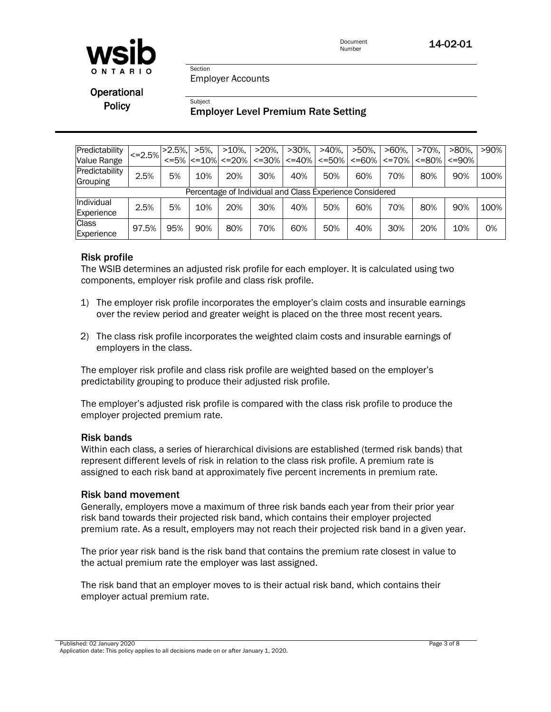

Employer Accounts

Section

Subject

**Operational Policy** 

## Employer Level Premium Rate Setting

| Predictability                                           | $\leq$ = 2.5% | $>2.5\%$ | $>5\%$ . | $>10\%$ ,                       | $>20\%$ ,   | $>30\%$ ,   | $>40\%$ .   | $>50\%$ .   | $>60\%$ .    | >70%. | $>80\%$ , | $>90\%$ |
|----------------------------------------------------------|---------------|----------|----------|---------------------------------|-------------|-------------|-------------|-------------|--------------|-------|-----------|---------|
| Value Range                                              |               |          |          | $\le$ =5% $\le$ =10% $\le$ =20% | $\leq$ =30% | $\leq$ =40% | $\leq$ =50% | $\leq$ =60% | $\leq$ = 70% | <=80% | <=90%     |         |
| Predictability                                           | 2.5%          | 5%       | 10%      | 20%                             | 30%         | 40%         | 50%         | 60%         | 70%          | 80%   | 90%       | 100%    |
| Grouping                                                 |               |          |          |                                 |             |             |             |             |              |       |           |         |
| Percentage of Individual and Class Experience Considered |               |          |          |                                 |             |             |             |             |              |       |           |         |
| Individual                                               | 2.5%          | 5%       | 10%      | 20%                             | 30%         | 40%         | 50%         | 60%         | 70%          | 80%   | 90%       | 100%    |
| Experience                                               |               |          |          |                                 |             |             |             |             |              |       |           |         |
| <b>Class</b>                                             | 97.5%         | 95%      | 90%      | 80%                             | 70%         | 60%         | 50%         | 40%         | 30%          | 20%   | 10%       | 0%      |
| Experience                                               |               |          |          |                                 |             |             |             |             |              |       |           |         |

#### Risk profile

The WSIB determines an adjusted risk profile for each employer. It is calculated using two components, employer risk profile and class risk profile.

- 1) The employer risk profile incorporates the employer's claim costs and insurable earnings over the review period and greater weight is placed on the three most recent years.
- 2) The class risk profile incorporates the weighted claim costs and insurable earnings of employers in the class.

The employer risk profile and class risk profile are weighted based on the employer's predictability grouping to produce their adjusted risk profile.

The employer's adjusted risk profile is compared with the class risk profile to produce the employer projected premium rate.

#### Risk bands

Within each class, a series of hierarchical divisions are established (termed risk bands) that represent different levels of risk in relation to the class risk profile. A premium rate is assigned to each risk band at approximately five percent increments in premium rate.

#### Risk band movement

Generally, employers move a maximum of three risk bands each year from their prior year risk band towards their projected risk band, which contains their employer projected premium rate. As a result, employers may not reach their projected risk band in a given year.

The prior year risk band is the risk band that contains the premium rate closest in value to the actual premium rate the employer was last assigned.

The risk band that an employer moves to is their actual risk band, which contains their employer actual premium rate.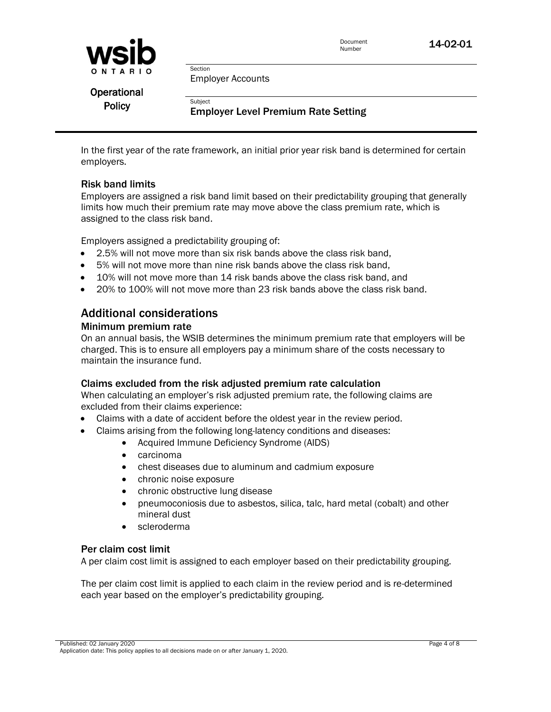

Employer Accounts

Section

Subject

**Operational Policy** 

## Employer Level Premium Rate Setting

In the first year of the rate framework, an initial prior year risk band is determined for certain employers.

## Risk band limits

Employers are assigned a risk band limit based on their predictability grouping that generally limits how much their premium rate may move above the class premium rate, which is assigned to the class risk band.

Employers assigned a predictability grouping of:

- 2.5% will not move more than six risk bands above the class risk band,
- 5% will not move more than nine risk bands above the class risk band,
- 10% will not move more than 14 risk bands above the class risk band, and
- 20% to 100% will not move more than 23 risk bands above the class risk band.

# Additional considerations

#### Minimum premium rate

On an annual basis, the WSIB determines the minimum premium rate that employers will be charged. This is to ensure all employers pay a minimum share of the costs necessary to maintain the insurance fund.

#### Claims excluded from the risk adjusted premium rate calculation

When calculating an employer's risk adjusted premium rate, the following claims are excluded from their claims experience:

- Claims with a date of accident before the oldest year in the review period.
- Claims arising from the following long-latency conditions and diseases:
	- Acquired Immune Deficiency Syndrome (AIDS)
	- carcinoma
	- chest diseases due to aluminum and cadmium exposure
	- chronic noise exposure
	- chronic obstructive lung disease
	- pneumoconiosis due to asbestos, silica, talc, hard metal (cobalt) and other mineral dust
	- scleroderma

## Per claim cost limit

A per claim cost limit is assigned to each employer based on their predictability grouping.

The per claim cost limit is applied to each claim in the review period and is re-determined each year based on the employer's predictability grouping.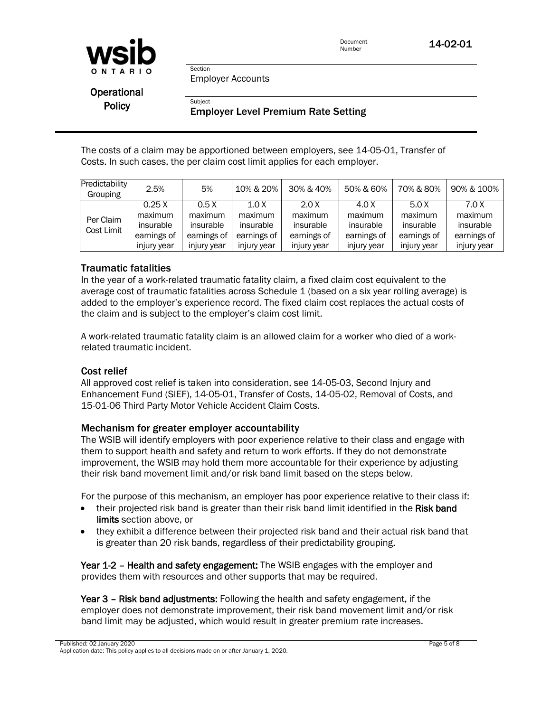

Employer Accounts

Section

Subject

**Operational Policy** 

## Employer Level Premium Rate Setting

The costs of a claim may be apportioned between employers, see 14-05-01, Transfer of Costs. In such cases, the per claim cost limit applies for each employer.

| Predictability<br>Grouping | 2.5%                                                        | 5%                                                         | 10% & 20%                                                   | 30% & 40%                                                   | 50% & 60%                                                   | 70% & 80%                                                   | 90% & 100%                                                  |
|----------------------------|-------------------------------------------------------------|------------------------------------------------------------|-------------------------------------------------------------|-------------------------------------------------------------|-------------------------------------------------------------|-------------------------------------------------------------|-------------------------------------------------------------|
| Per Claim<br>Cost Limit    | 0.25X<br>maximum<br>insurable<br>earnings of<br>injury year | 0.5X<br>maximum<br>insurable<br>earnings of<br>injury year | 1.0 X<br>maximum<br>insurable<br>earnings of<br>injury year | 2.0 X<br>maximum<br>insurable<br>earnings of<br>injury year | 4.0 X<br>maximum<br>insurable<br>earnings of<br>injury year | 5.0 X<br>maximum<br>insurable<br>earnings of<br>injury year | 7.0 X<br>maximum<br>insurable<br>earnings of<br>injury year |

#### Traumatic fatalities

In the year of a work-related traumatic fatality claim, a fixed claim cost equivalent to the average cost of traumatic fatalities across Schedule 1 (based on a six year rolling average) is added to the employer's experience record. The fixed claim cost replaces the actual costs of the claim and is subject to the employer's claim cost limit.

A work-related traumatic fatality claim is an allowed claim for a worker who died of a workrelated traumatic incident.

#### Cost relief

All approved cost relief is taken into consideration, see 14-05-03, Second Injury and Enhancement Fund (SIEF), 14-05-01, Transfer of Costs, 14-05-02, Removal of Costs, and 15-01-06 Third Party Motor Vehicle Accident Claim Costs.

#### Mechanism for greater employer accountability

The WSIB will identify employers with poor experience relative to their class and engage with them to support health and safety and return to work efforts. If they do not demonstrate improvement, the WSIB may hold them more accountable for their experience by adjusting their risk band movement limit and/or risk band limit based on the steps below.

For the purpose of this mechanism, an employer has poor experience relative to their class if:

- their projected risk band is greater than their risk band limit identified in the Risk band limits section above, or
- they exhibit a difference between their projected risk band and their actual risk band that is greater than 20 risk bands, regardless of their predictability grouping.

Year 1-2 - Health and safety engagement: The WSIB engages with the employer and provides them with resources and other supports that may be required.

Year 3 – Risk band adjustments: Following the health and safety engagement, if the employer does not demonstrate improvement, their risk band movement limit and/or risk band limit may be adjusted, which would result in greater premium rate increases.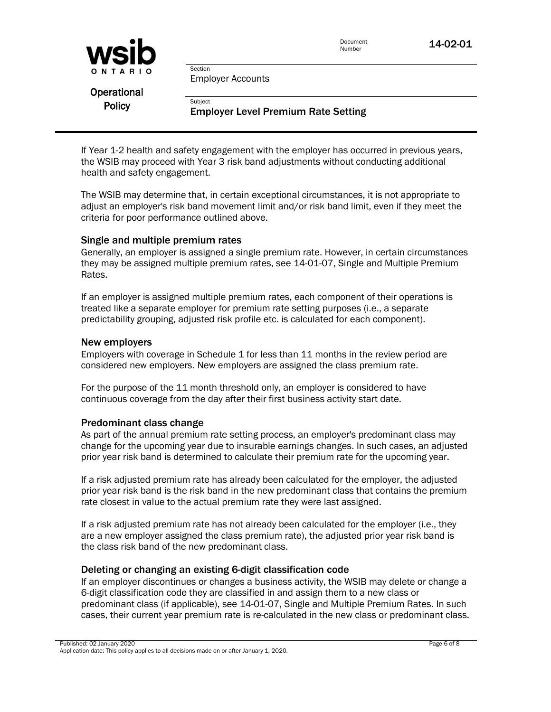

Employer Accounts

Section

Subject

**Operational Policy** 

## Employer Level Premium Rate Setting

If Year 1-2 health and safety engagement with the employer has occurred in previous years, the WSIB may proceed with Year 3 risk band adjustments without conducting additional health and safety engagement.

The WSIB may determine that, in certain exceptional circumstances, it is not appropriate to adjust an employer's risk band movement limit and/or risk band limit, even if they meet the criteria for poor performance outlined above.

#### Single and multiple premium rates

Generally, an employer is assigned a single premium rate. However, in certain circumstances they may be assigned multiple premium rates, see 14-01-07, Single and Multiple Premium Rates.

If an employer is assigned multiple premium rates, each component of their operations is treated like a separate employer for premium rate setting purposes (i.e., a separate predictability grouping, adjusted risk profile etc. is calculated for each component).

#### New employers

Employers with coverage in Schedule 1 for less than 11 months in the review period are considered new employers. New employers are assigned the class premium rate.

For the purpose of the 11 month threshold only, an employer is considered to have continuous coverage from the day after their first business activity start date.

## Predominant class change

As part of the annual premium rate setting process, an employer's predominant class may change for the upcoming year due to insurable earnings changes. In such cases, an adjusted prior year risk band is determined to calculate their premium rate for the upcoming year.

If a risk adjusted premium rate has already been calculated for the employer, the adjusted prior year risk band is the risk band in the new predominant class that contains the premium rate closest in value to the actual premium rate they were last assigned.

If a risk adjusted premium rate has not already been calculated for the employer (i.e., they are a new employer assigned the class premium rate), the adjusted prior year risk band is the class risk band of the new predominant class.

## Deleting or changing an existing 6-digit classification code

If an employer discontinues or changes a business activity, the WSIB may delete or change a 6-digit classification code they are classified in and assign them to a new class or predominant class (if applicable), see 14-01-07, Single and Multiple Premium Rates. In such cases, their current year premium rate is re-calculated in the new class or predominant class.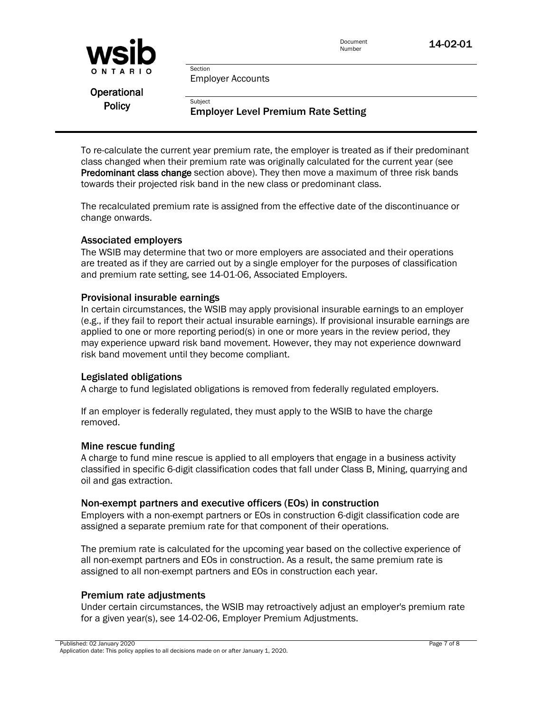

Employer Accounts

Section

Subject

**Operational Policy** 

## Employer Level Premium Rate Setting

To re-calculate the current year premium rate, the employer is treated as if their predominant class changed when their premium rate was originally calculated for the current year (see Predominant class change section above). They then move a maximum of three risk bands towards their projected risk band in the new class or predominant class.

The recalculated premium rate is assigned from the effective date of the discontinuance or change onwards.

#### Associated employers

The WSIB may determine that two or more employers are associated and their operations are treated as if they are carried out by a single employer for the purposes of classification and premium rate setting, see 14-01-06, Associated Employers.

#### Provisional insurable earnings

In certain circumstances, the WSIB may apply provisional insurable earnings to an employer (e.g., if they fail to report their actual insurable earnings). If provisional insurable earnings are applied to one or more reporting period(s) in one or more years in the review period, they may experience upward risk band movement. However, they may not experience downward risk band movement until they become compliant.

#### Legislated obligations

A charge to fund legislated obligations is removed from federally regulated employers.

If an employer is federally regulated, they must apply to the WSIB to have the charge removed.

#### Mine rescue funding

A charge to fund mine rescue is applied to all employers that engage in a business activity classified in specific 6-digit classification codes that fall under Class B, Mining, quarrying and oil and gas extraction.

#### Non-exempt partners and executive officers (EOs) in construction

Employers with a non-exempt partners or EOs in construction 6-digit classification code are assigned a separate premium rate for that component of their operations.

The premium rate is calculated for the upcoming year based on the collective experience of all non-exempt partners and EOs in construction. As a result, the same premium rate is assigned to all non-exempt partners and EOs in construction each year.

## Premium rate adjustments

Under certain circumstances, the WSIB may retroactively adjust an employer's premium rate for a given year(s), see 14-02-06, Employer Premium Adjustments.